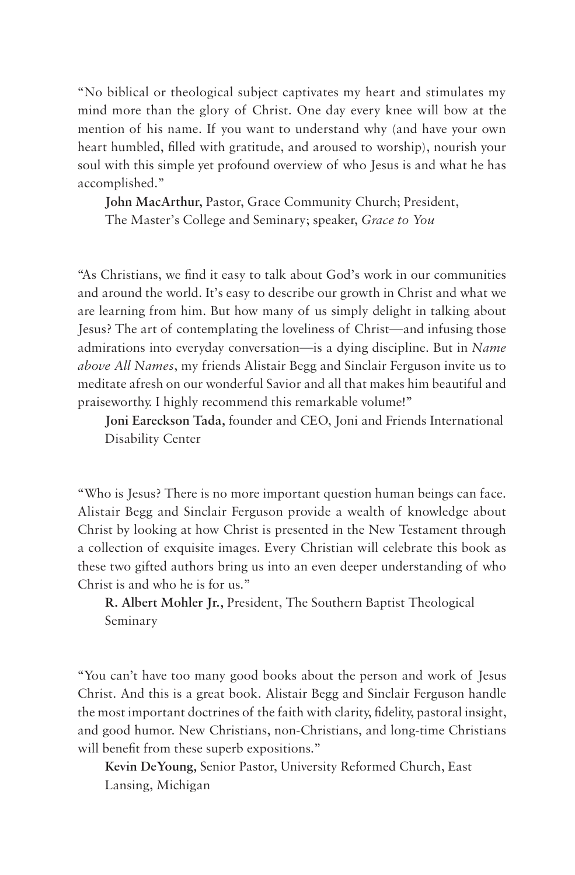"No biblical or theological subject captivates my heart and stimulates my mind more than the glory of Christ. One day every knee will bow at the mention of his name. If you want to understand why (and have your own heart humbled, filled with gratitude, and aroused to worship), nourish your soul with this simple yet profound overview of who Jesus is and what he has accomplished."

**John MacArthur,** Pastor, Grace Community Church; President, The Master's College and Seminary; speaker, *Grace to You*

"As Christians, we find it easy to talk about God's work in our communities and around the world. It's easy to describe our growth in Christ and what we are learning from him. But how many of us simply delight in talking about Jesus? The art of contemplating the loveliness of Christ—and infusing those admirations into everyday conversation—is a dying discipline. But in *Name above All Names*, my friends Alistair Begg and Sinclair Ferguson invite us to meditate afresh on our wonderful Savior and all that makes him beautiful and praiseworthy. I highly recommend this remarkable volume!"

**Joni Eareckson Tada,** founder and CEO, Joni and Friends International Disability Center

"Who is Jesus? There is no more important question human beings can face. Alistair Begg and Sinclair Ferguson provide a wealth of knowledge about Christ by looking at how Christ is presented in the New Testament through a collection of exquisite images. Every Christian will celebrate this book as these two gifted authors bring us into an even deeper understanding of who Christ is and who he is for us."

**R. Albert Mohler Jr.,** President, The Southern Baptist Theological Seminary

"You can't have too many good books about the person and work of Jesus Christ. And this is a great book. Alistair Begg and Sinclair Ferguson handle the most important doctrines of the faith with clarity, fidelity, pastoral insight, and good humor. New Christians, non-Christians, and long-time Christians will benefit from these superb expositions."

**Kevin DeYoung,** Senior Pastor, University Reformed Church, East Lansing, Michigan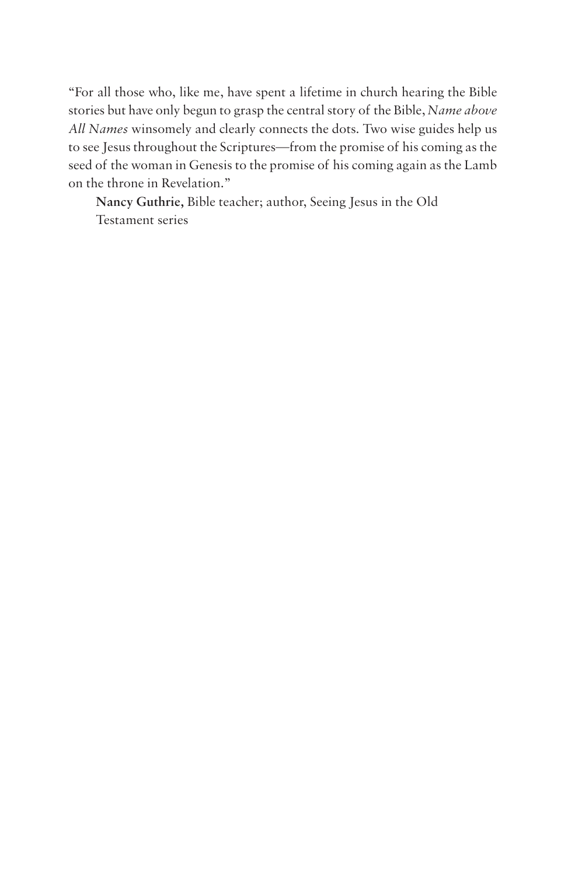"For all those who, like me, have spent a lifetime in church hearing the Bible stories but have only begun to grasp the central story of the Bible, *Name above All Names* winsomely and clearly connects the dots. Two wise guides help us to see Jesus throughout the Scriptures—from the promise of his coming as the seed of the woman in Genesis to the promise of his coming again as the Lamb on the throne in Revelation."

**Nancy Guthrie,** Bible teacher; author, Seeing Jesus in the Old Testament series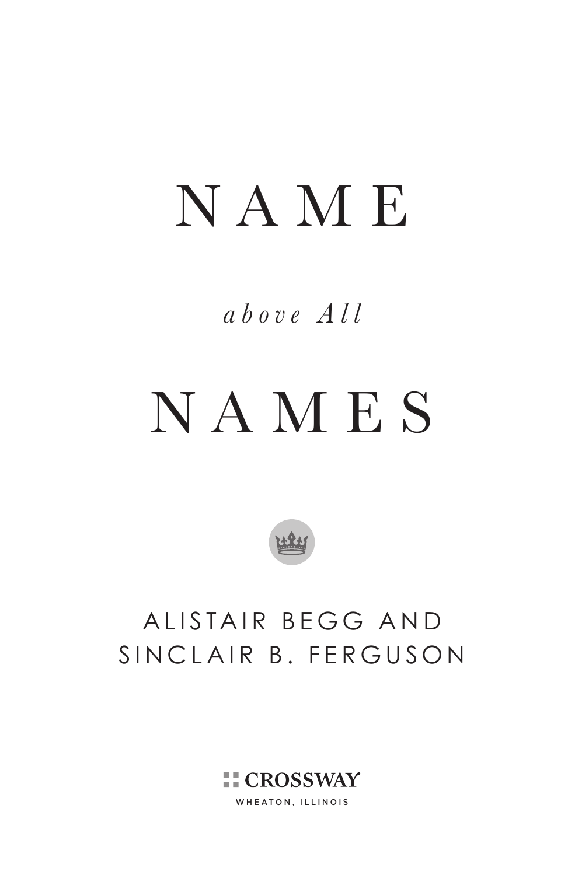# N A M E

*a b o v e A l l* 

# NAMES



## ALISTAIR BEGG AND SINCLAIR B. FERGUSON

### **EL CROSSWAY**

WHEATON, ILLINOIS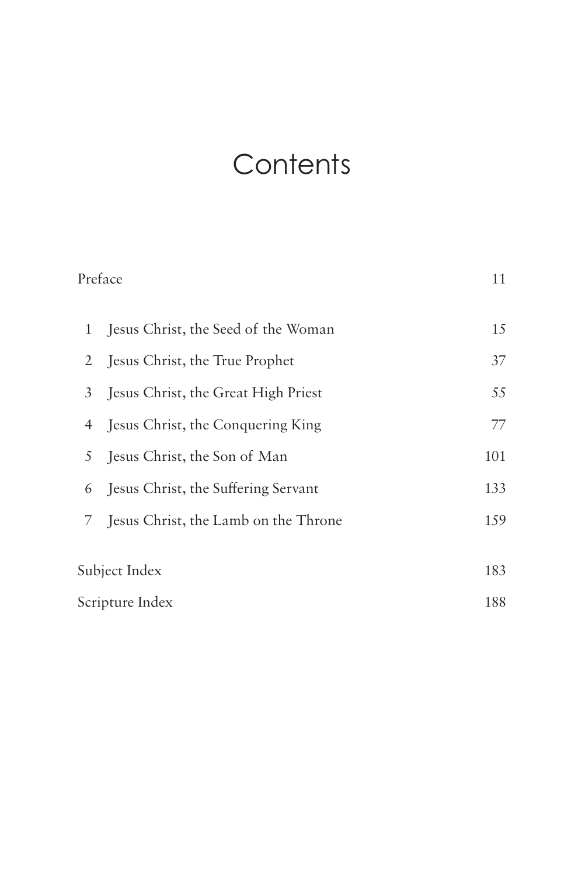## **Contents**

| Preface         |                                      | 11  |
|-----------------|--------------------------------------|-----|
| $\mathbf{1}$    | Jesus Christ, the Seed of the Woman  | 15  |
| 2               | Jesus Christ, the True Prophet       | 37  |
| 3               | Jesus Christ, the Great High Priest  | 55  |
| 4               | Jesus Christ, the Conquering King    | 77  |
| 5               | Jesus Christ, the Son of Man         | 101 |
| 6               | Jesus Christ, the Suffering Servant  | 133 |
| 7.              | Jesus Christ, the Lamb on the Throne | 159 |
|                 |                                      |     |
| Subject Index   |                                      | 183 |
| Scripture Index |                                      | 188 |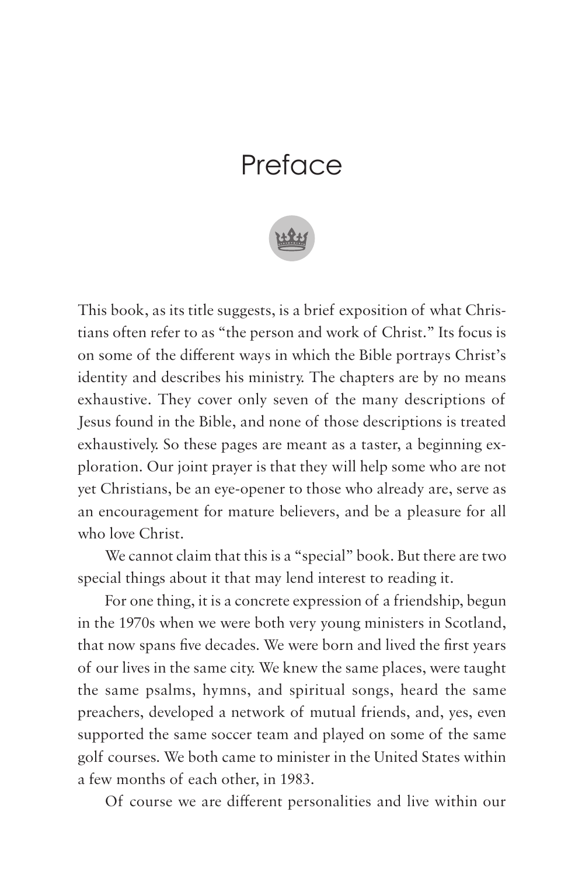### Preface



This book, as its title suggests, is a brief exposition of what Christians often refer to as "the person and work of Christ." Its focus is on some of the different ways in which the Bible portrays Christ's identity and describes his ministry. The chapters are by no means exhaustive. They cover only seven of the many descriptions of Jesus found in the Bible, and none of those descriptions is treated exhaustively. So these pages are meant as a taster, a beginning exploration. Our joint prayer is that they will help some who are not yet Christians, be an eye-opener to those who already are, serve as an encouragement for mature believers, and be a pleasure for all who love Christ.

We cannot claim that this is a "special" book. But there are two special things about it that may lend interest to reading it.

For one thing, it is a concrete expression of a friendship, begun in the 1970s when we were both very young ministers in Scotland, that now spans five decades. We were born and lived the first years of our lives in the same city. We knew the same places, were taught the same psalms, hymns, and spiritual songs, heard the same preachers, developed a network of mutual friends, and, yes, even supported the same soccer team and played on some of the same golf courses. We both came to minister in the United States within a few months of each other, in 1983.

Of course we are different personalities and live within our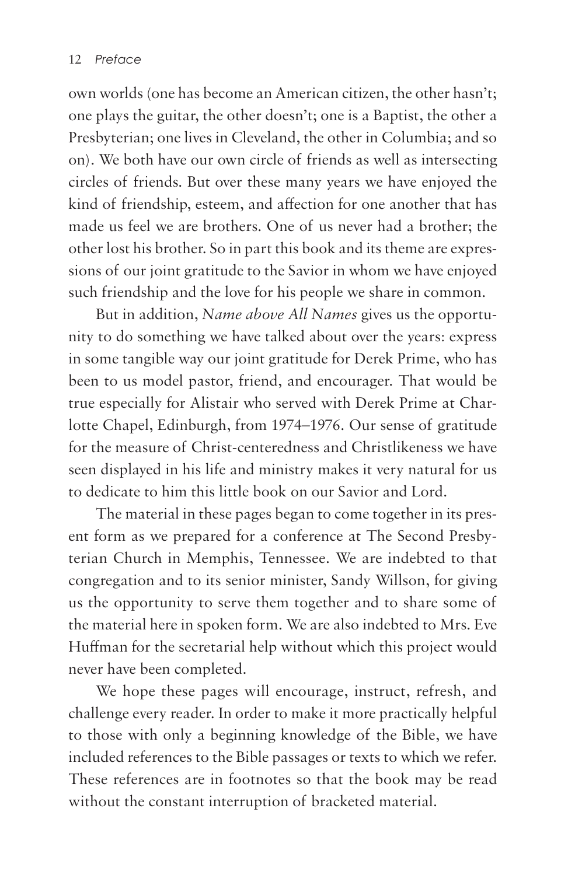#### 12 *Preface*

own worlds (one has become an American citizen, the other hasn't; one plays the guitar, the other doesn't; one is a Baptist, the other a Presbyterian; one lives in Cleveland, the other in Columbia; and so on). We both have our own circle of friends as well as intersecting circles of friends. But over these many years we have enjoyed the kind of friendship, esteem, and affection for one another that has made us feel we are brothers. One of us never had a brother; the other lost his brother. So in part this book and its theme are expressions of our joint gratitude to the Savior in whom we have enjoyed such friendship and the love for his people we share in common.

But in addition, *Name above All Names* gives us the opportunity to do something we have talked about over the years: express in some tangible way our joint gratitude for Derek Prime, who has been to us model pastor, friend, and encourager. That would be true especially for Alistair who served with Derek Prime at Charlotte Chapel, Edinburgh, from 1974–1976. Our sense of gratitude for the measure of Christ-centeredness and Christlikeness we have seen displayed in his life and ministry makes it very natural for us to dedicate to him this little book on our Savior and Lord.

The material in these pages began to come together in its present form as we prepared for a conference at The Second Presbyterian Church in Memphis, Tennessee. We are indebted to that congregation and to its senior minister, Sandy Willson, for giving us the opportunity to serve them together and to share some of the material here in spoken form. We are also indebted to Mrs. Eve Huffman for the secretarial help without which this project would never have been completed.

We hope these pages will encourage, instruct, refresh, and challenge every reader. In order to make it more practically helpful to those with only a beginning knowledge of the Bible, we have included references to the Bible passages or texts to which we refer. These references are in footnotes so that the book may be read without the constant interruption of bracketed material.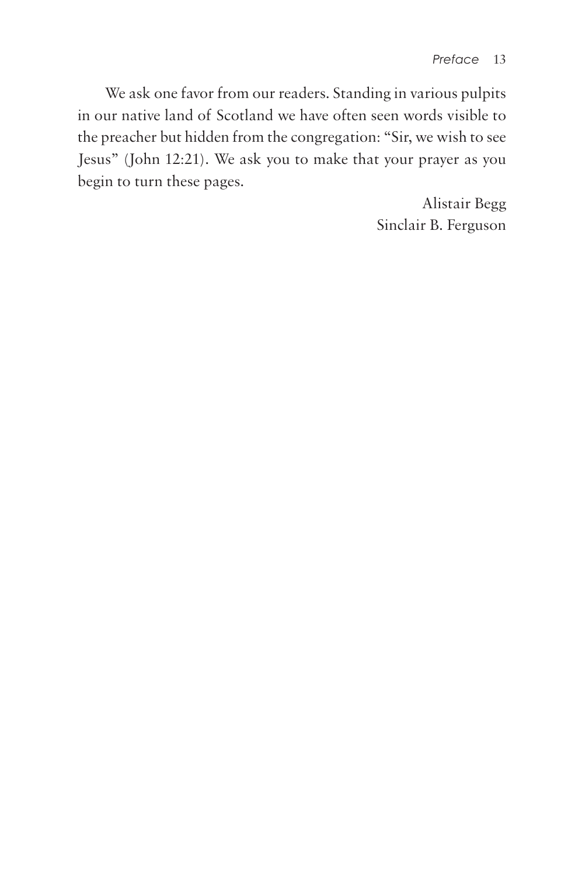We ask one favor from our readers. Standing in various pulpits in our native land of Scotland we have often seen words visible to the preacher but hidden from the congregation: "Sir, we wish to see Jesus" (John 12:21). We ask you to make that your prayer as you begin to turn these pages.

> Alistair Begg Sinclair B. Ferguson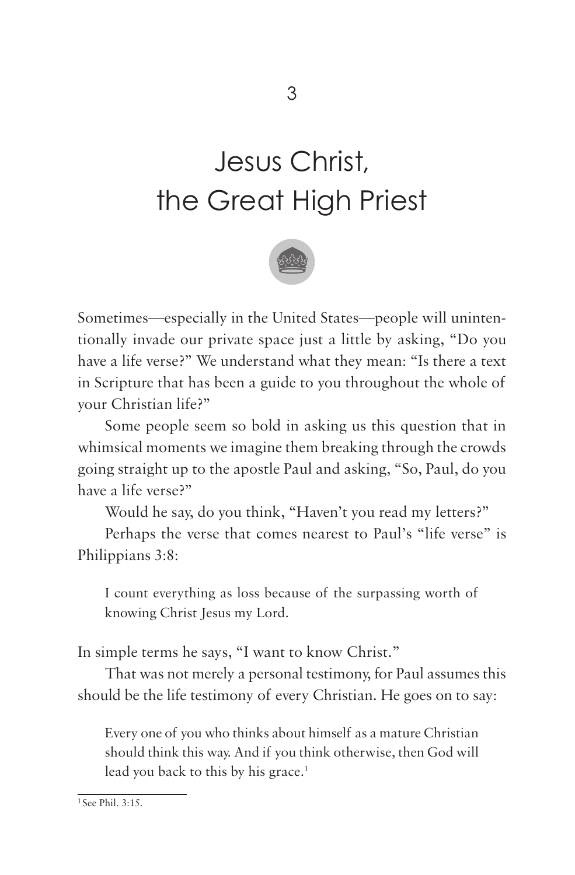## Jesus Christ, the Great High Priest



Sometimes—especially in the United States—people will unintentionally invade our private space just a little by asking, "Do you have a life verse?" We understand what they mean: "Is there a text in Scripture that has been a guide to you throughout the whole of your Christian life?"

Some people seem so bold in asking us this question that in whimsical moments we imagine them breaking through the crowds going straight up to the apostle Paul and asking, "So, Paul, do you have a life verse?"

Would he say, do you think, "Haven't you read my letters?"

Perhaps the verse that comes nearest to Paul's "life verse" is Philippians 3:8:

I count everything as loss because of the surpassing worth of knowing Christ Jesus my Lord.

In simple terms he says, "I want to know Christ."

That was not merely a personal testimony, for Paul assumes this should be the life testimony of every Christian. He goes on to say:

Every one of you who thinks about himself as a mature Christian should think this way. And if you think otherwise, then God will lead you back to this by his grace.<sup>1</sup>

 $1$  See Phil. 3:15.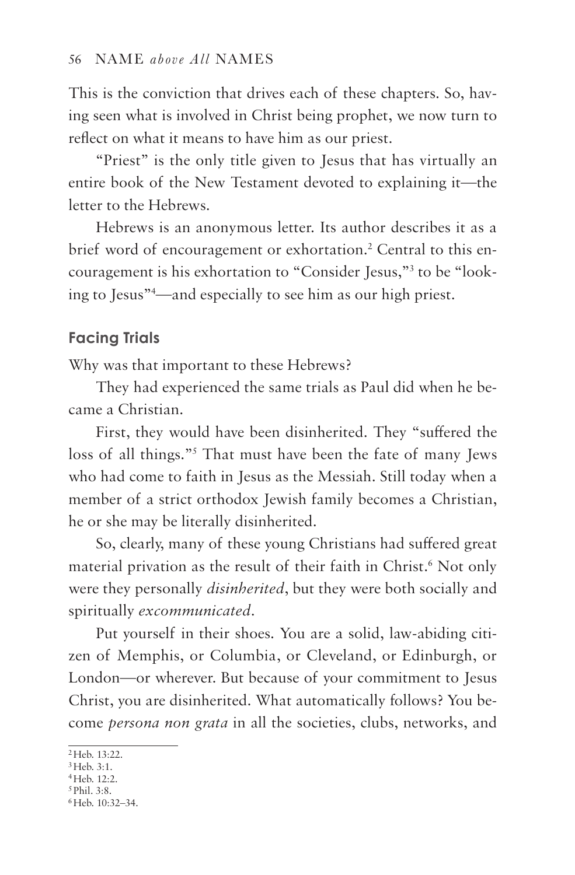This is the conviction that drives each of these chapters. So, having seen what is involved in Christ being prophet, we now turn to reflect on what it means to have him as our priest.

"Priest" is the only title given to Jesus that has virtually an entire book of the New Testament devoted to explaining it—the letter to the Hebrews.

Hebrews is an anonymous letter. Its author describes it as a brief word of encouragement or exhortation.<sup>2</sup> Central to this encouragement is his exhortation to "Consider Jesus,"3 to be "looking to Jesus"4 —and especially to see him as our high priest.

#### **Facing Trials**

Why was that important to these Hebrews?

They had experienced the same trials as Paul did when he became a Christian.

First, they would have been disinherited. They "suffered the loss of all things."<sup>5</sup> That must have been the fate of many Jews who had come to faith in Jesus as the Messiah. Still today when a member of a strict orthodox Jewish family becomes a Christian, he or she may be literally disinherited.

So, clearly, many of these young Christians had suffered great material privation as the result of their faith in Christ.<sup>6</sup> Not only were they personally *disinherited*, but they were both socially and spiritually *excommunicated*.

Put yourself in their shoes. You are a solid, law-abiding citizen of Memphis, or Columbia, or Cleveland, or Edinburgh, or London—or wherever. But because of your commitment to Jesus Christ, you are disinherited. What automatically follows? You become *persona non grata* in all the societies, clubs, networks, and

 $5$ Phil. 3:8.

<sup>2</sup>Heb. 13:22.

<sup>3</sup>Heb. 3:1.

<sup>4</sup>Heb. 12:2.

<sup>6</sup>Heb. 10:32–34.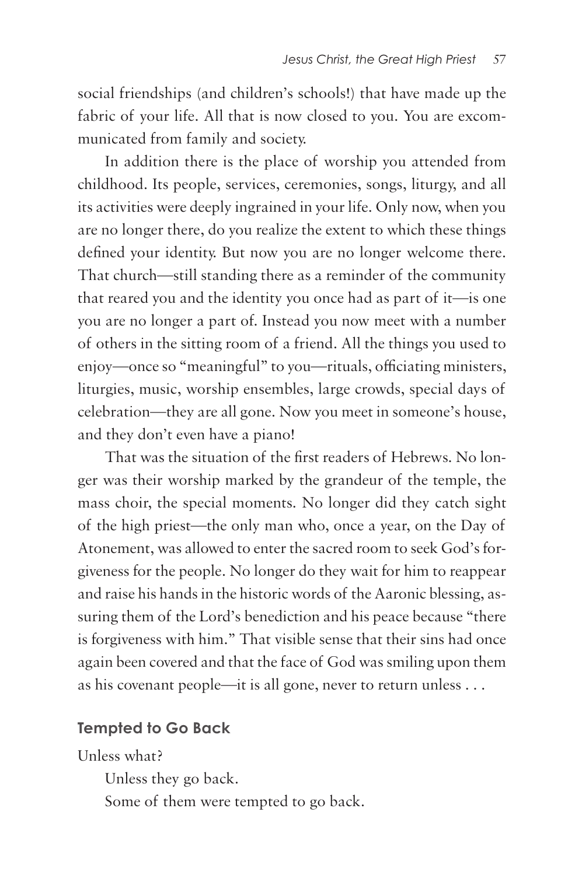social friendships (and children's schools!) that have made up the fabric of your life. All that is now closed to you. You are excommunicated from family and society.

In addition there is the place of worship you attended from childhood. Its people, services, ceremonies, songs, liturgy, and all its activities were deeply ingrained in your life. Only now, when you are no longer there, do you realize the extent to which these things defined your identity. But now you are no longer welcome there. That church—still standing there as a reminder of the community that reared you and the identity you once had as part of it—is one you are no longer a part of. Instead you now meet with a number of others in the sitting room of a friend. All the things you used to enjoy—once so "meaningful" to you—rituals, officiating ministers, liturgies, music, worship ensembles, large crowds, special days of celebration—they are all gone. Now you meet in someone's house, and they don't even have a piano!

That was the situation of the first readers of Hebrews. No longer was their worship marked by the grandeur of the temple, the mass choir, the special moments. No longer did they catch sight of the high priest—the only man who, once a year, on the Day of Atonement, was allowed to enter the sacred room to seek God's forgiveness for the people. No longer do they wait for him to reappear and raise his hands in the historic words of the Aaronic blessing, assuring them of the Lord's benediction and his peace because "there is forgiveness with him." That visible sense that their sins had once again been covered and that the face of God was smiling upon them as his covenant people—it is all gone, never to return unless . . .

#### **Tempted to Go Back**

Unless what? Unless they go back. Some of them were tempted to go back.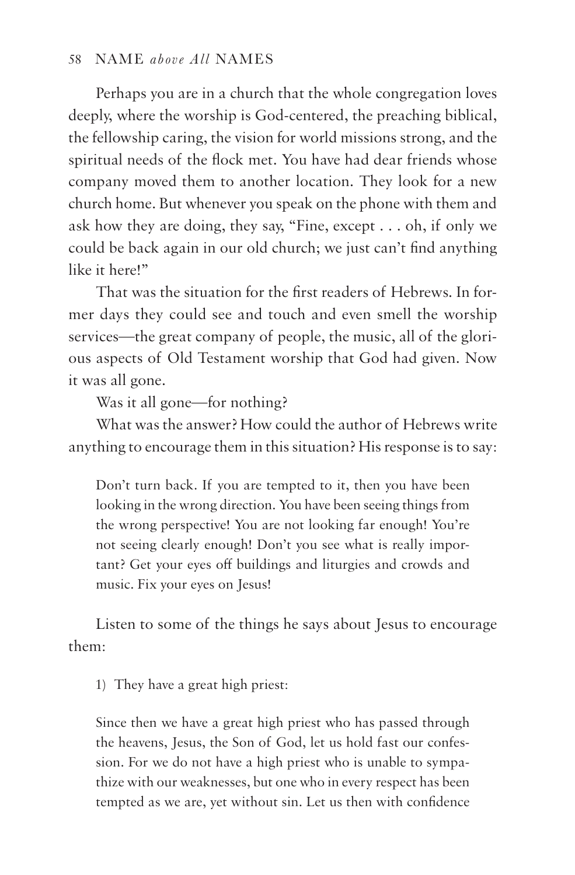#### 58 NAME *above All* NAMES

Perhaps you are in a church that the whole congregation loves deeply, where the worship is God-centered, the preaching biblical, the fellowship caring, the vision for world missions strong, and the spiritual needs of the flock met. You have had dear friends whose company moved them to another location. They look for a new church home. But whenever you speak on the phone with them and ask how they are doing, they say, "Fine, except . . . oh, if only we could be back again in our old church; we just can't find anything like it here!"

That was the situation for the first readers of Hebrews. In former days they could see and touch and even smell the worship services—the great company of people, the music, all of the glorious aspects of Old Testament worship that God had given. Now it was all gone.

Was it all gone—for nothing?

What was the answer? How could the author of Hebrews write anything to encourage them in this situation? His response is to say:

Don't turn back. If you are tempted to it, then you have been looking in the wrong direction. You have been seeing things from the wrong perspective! You are not looking far enough! You're not seeing clearly enough! Don't you see what is really important? Get your eyes off buildings and liturgies and crowds and music. Fix your eyes on Jesus!

Listen to some of the things he says about Jesus to encourage them:

1) They have a great high priest:

Since then we have a great high priest who has passed through the heavens, Jesus, the Son of God, let us hold fast our confession. For we do not have a high priest who is unable to sympathize with our weaknesses, but one who in every respect has been tempted as we are, yet without sin. Let us then with confidence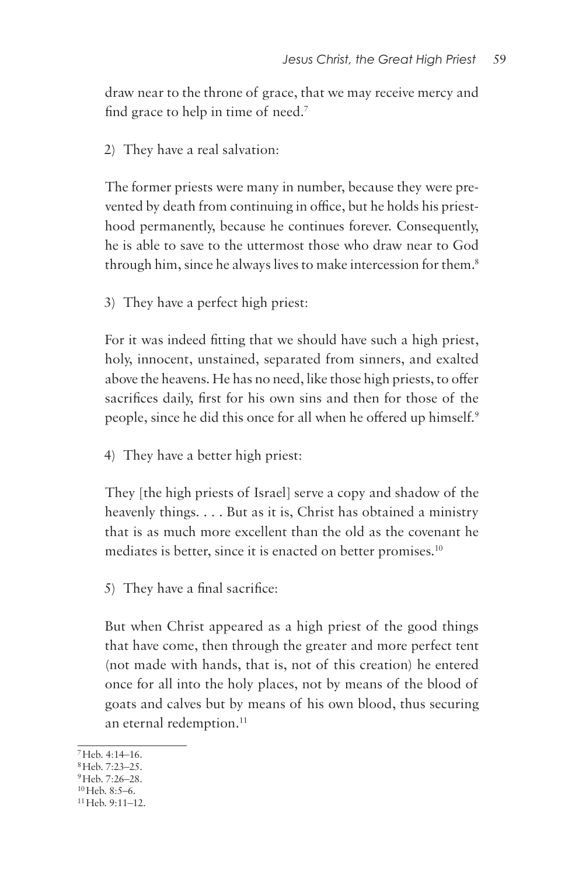draw near to the throne of grace, that we may receive mercy and find grace to help in time of need.7

2) They have a real salvation:

The former priests were many in number, because they were prevented by death from continuing in office, but he holds his priesthood permanently, because he continues forever. Consequently, he is able to save to the uttermost those who draw near to God through him, since he always lives to make intercession for them.8

3) They have a perfect high priest:

For it was indeed fitting that we should have such a high priest, holy, innocent, unstained, separated from sinners, and exalted above the heavens. He has no need, like those high priests, to offer sacrifices daily, first for his own sins and then for those of the people, since he did this once for all when he offered up himself.<sup>9</sup>

4) They have a better high priest:

They [the high priests of Israel] serve a copy and shadow of the heavenly things. . . . But as it is, Christ has obtained a ministry that is as much more excellent than the old as the covenant he mediates is better, since it is enacted on better promises.<sup>10</sup>

5) They have a final sacrifice:

But when Christ appeared as a high priest of the good things that have come, then through the greater and more perfect tent (not made with hands, that is, not of this creation) he entered once for all into the holy places, not by means of the blood of goats and calves but by means of his own blood, thus securing an eternal redemption.<sup>11</sup>

- 8Heb. 7:23–25.
- 9Heb. 7:26–28.
- $10$  Heb. 8:5–6.

<sup>7</sup>Heb. 4:14–16.

<sup>11</sup>Heb. 9:11–12.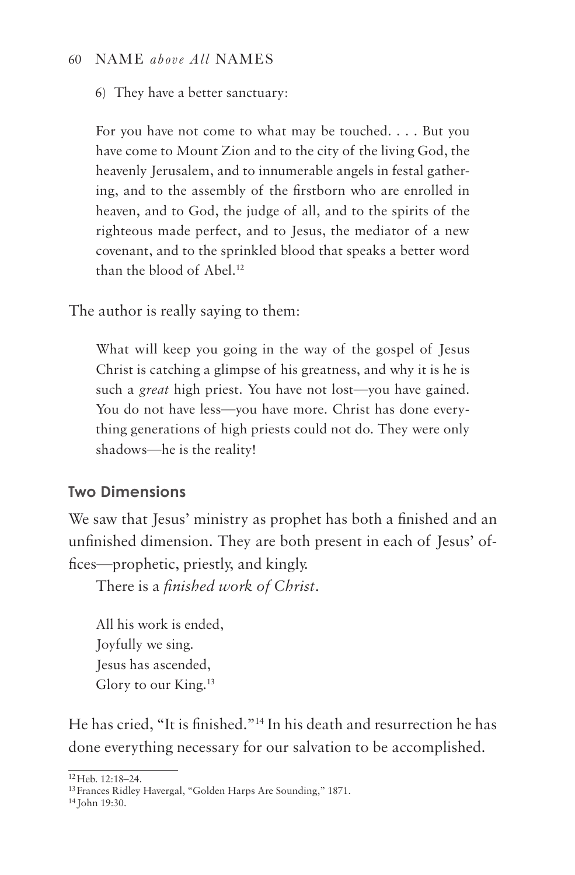#### 60 NAME *above All* NAMES

6) They have a better sanctuary:

For you have not come to what may be touched. . . . But you have come to Mount Zion and to the city of the living God, the heavenly Jerusalem, and to innumerable angels in festal gathering, and to the assembly of the firstborn who are enrolled in heaven, and to God, the judge of all, and to the spirits of the righteous made perfect, and to Jesus, the mediator of a new covenant, and to the sprinkled blood that speaks a better word than the blood of Abel.12

The author is really saying to them:

What will keep you going in the way of the gospel of Jesus Christ is catching a glimpse of his greatness, and why it is he is such a *great* high priest. You have not lost—you have gained. You do not have less—you have more. Christ has done everything generations of high priests could not do. They were only shadows—he is the reality!

#### **Two Dimensions**

We saw that Jesus' ministry as prophet has both a finished and an unfinished dimension. They are both present in each of Jesus' offices—prophetic, priestly, and kingly.

There is a *finished work of Christ*.

All his work is ended, Joyfully we sing. Jesus has ascended, Glory to our King.13

He has cried, "It is finished."14 In his death and resurrection he has done everything necessary for our salvation to be accomplished.

<sup>12</sup>Heb. 12:18–24.

<sup>&</sup>lt;sup>13</sup> Frances Ridley Havergal, "Golden Harps Are Sounding," 1871.

<sup>14</sup> John 19:30.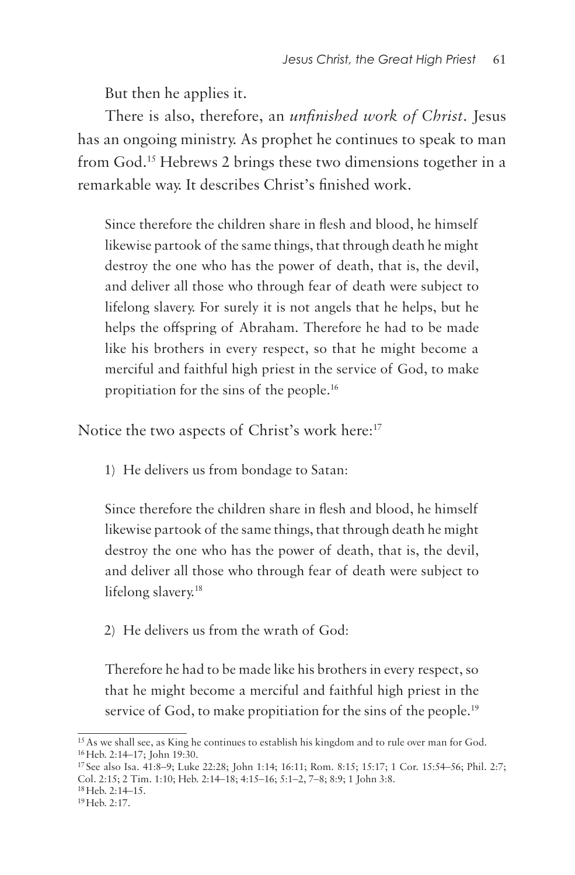But then he applies it.

There is also, therefore, an *unfinished work of Christ*. Jesus has an ongoing ministry. As prophet he continues to speak to man from God.15 Hebrews 2 brings these two dimensions together in a remarkable way. It describes Christ's finished work.

Since therefore the children share in flesh and blood, he himself likewise partook of the same things, that through death he might destroy the one who has the power of death, that is, the devil, and deliver all those who through fear of death were subject to lifelong slavery. For surely it is not angels that he helps, but he helps the offspring of Abraham. Therefore he had to be made like his brothers in every respect, so that he might become a merciful and faithful high priest in the service of God, to make propitiation for the sins of the people.16

Notice the two aspects of Christ's work here:<sup>17</sup>

1) He delivers us from bondage to Satan:

Since therefore the children share in flesh and blood, he himself likewise partook of the same things, that through death he might destroy the one who has the power of death, that is, the devil, and deliver all those who through fear of death were subject to lifelong slavery.<sup>18</sup>

2) He delivers us from the wrath of God:

Therefore he had to be made like his brothers in every respect, so that he might become a merciful and faithful high priest in the service of God, to make propitiation for the sins of the people.<sup>19</sup>

<sup>15</sup>As we shall see, as King he continues to establish his kingdom and to rule over man for God. 16Heb. 2:14–17; John 19:30.

<sup>17</sup> See also Isa. 41:8–9; Luke 22:28; John 1:14; 16:11; Rom. 8:15; 15:17; 1 Cor. 15:54–56; Phil. 2:7; Col. 2:15; 2 Tim. 1:10; Heb. 2:14–18; 4:15–16; 5:1–2, 7–8; 8:9; 1 John 3:8.

<sup>18</sup>Heb. 2:14–15.

<sup>19</sup>Heb. 2:17.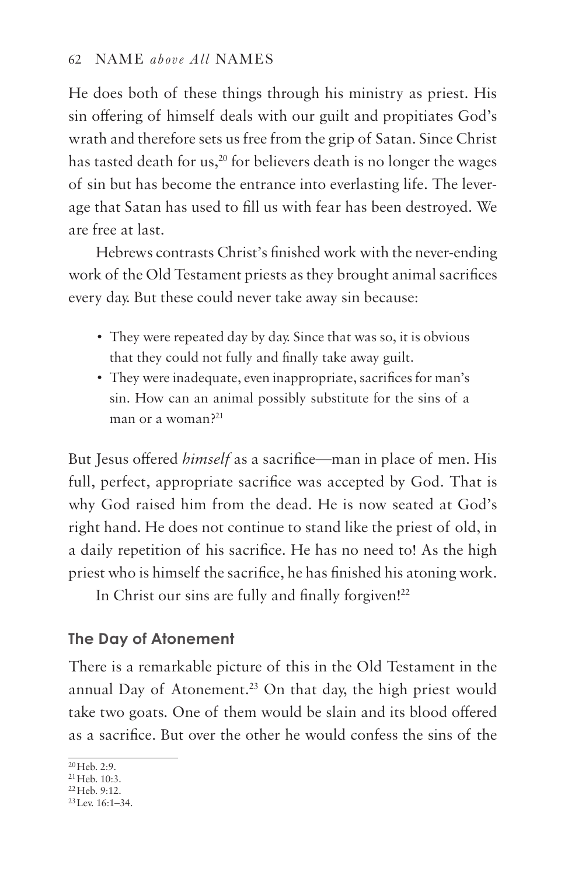He does both of these things through his ministry as priest. His sin offering of himself deals with our guilt and propitiates God's wrath and therefore sets us free from the grip of Satan. Since Christ has tasted death for us,<sup>20</sup> for believers death is no longer the wages of sin but has become the entrance into everlasting life. The leverage that Satan has used to fill us with fear has been destroyed. We are free at last.

Hebrews contrasts Christ's finished work with the never-ending work of the Old Testament priests as they brought animal sacrifices every day. But these could never take away sin because:

- They were repeated day by day. Since that was so, it is obvious that they could not fully and finally take away guilt.
- They were inadequate, even inappropriate, sacrifices for man's sin. How can an animal possibly substitute for the sins of a man or a woman<sup>221</sup>

But Jesus offered *himself* as a sacrifice—man in place of men. His full, perfect, appropriate sacrifice was accepted by God. That is why God raised him from the dead. He is now seated at God's right hand. He does not continue to stand like the priest of old, in a daily repetition of his sacrifice. He has no need to! As the high priest who is himself the sacrifice, he has finished his atoning work.

In Christ our sins are fully and finally forgiven!<sup>22</sup>

#### **The Day of Atonement**

There is a remarkable picture of this in the Old Testament in the annual Day of Atonement.<sup>23</sup> On that day, the high priest would take two goats. One of them would be slain and its blood offered as a sacrifice. But over the other he would confess the sins of the

<sup>&</sup>lt;sup>20</sup> Heb. 2:9.

<sup>21</sup>Heb. 10:3.

<sup>22</sup>Heb. 9:12.

<sup>23</sup>Lev. 16:1–34.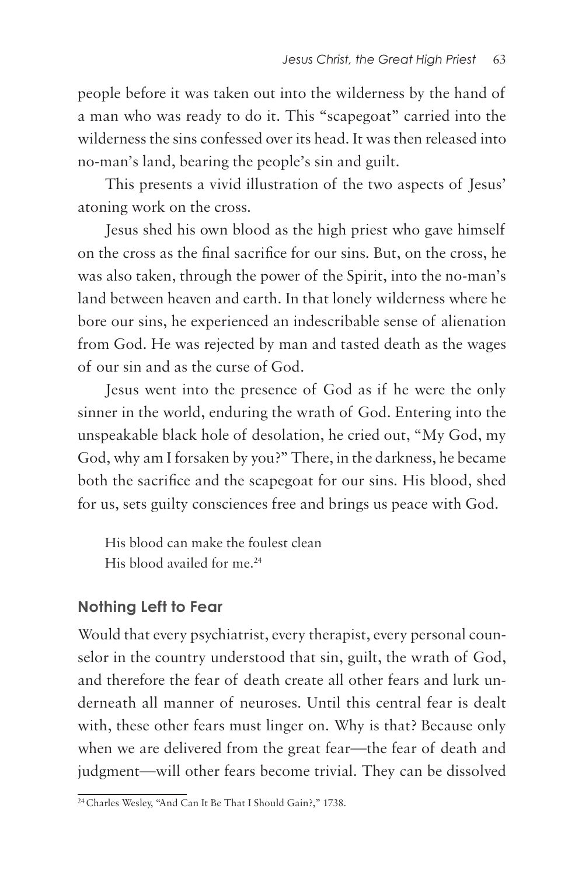people before it was taken out into the wilderness by the hand of a man who was ready to do it. This "scapegoat" carried into the wilderness the sins confessed over its head. It was then released into no-man's land, bearing the people's sin and guilt.

This presents a vivid illustration of the two aspects of Jesus' atoning work on the cross.

Jesus shed his own blood as the high priest who gave himself on the cross as the final sacrifice for our sins. But, on the cross, he was also taken, through the power of the Spirit, into the no-man's land between heaven and earth. In that lonely wilderness where he bore our sins, he experienced an indescribable sense of alienation from God. He was rejected by man and tasted death as the wages of our sin and as the curse of God.

Jesus went into the presence of God as if he were the only sinner in the world, enduring the wrath of God. Entering into the unspeakable black hole of desolation, he cried out, "My God, my God, why am I forsaken by you?" There, in the darkness, he became both the sacrifice and the scapegoat for our sins. His blood, shed for us, sets guilty consciences free and brings us peace with God.

His blood can make the foulest clean His blood availed for me.<sup>24</sup>

#### **Nothing Left to Fear**

Would that every psychiatrist, every therapist, every personal counselor in the country understood that sin, guilt, the wrath of God, and therefore the fear of death create all other fears and lurk underneath all manner of neuroses. Until this central fear is dealt with, these other fears must linger on. Why is that? Because only when we are delivered from the great fear—the fear of death and judgment—will other fears become trivial. They can be dissolved

<sup>&</sup>lt;sup>24</sup> Charles Wesley, "And Can It Be That I Should Gain?," 1738.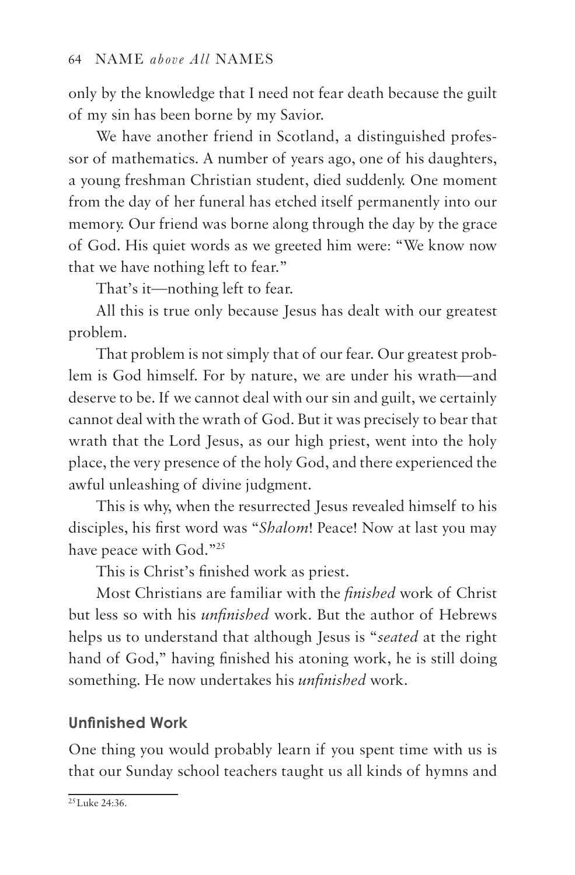only by the knowledge that I need not fear death because the guilt of my sin has been borne by my Savior.

We have another friend in Scotland, a distinguished professor of mathematics. A number of years ago, one of his daughters, a young freshman Christian student, died suddenly. One moment from the day of her funeral has etched itself permanently into our memory. Our friend was borne along through the day by the grace of God. His quiet words as we greeted him were: "We know now that we have nothing left to fear."

That's it—nothing left to fear.

All this is true only because Jesus has dealt with our greatest problem.

That problem is not simply that of our fear. Our greatest problem is God himself. For by nature, we are under his wrath—and deserve to be. If we cannot deal with our sin and guilt, we certainly cannot deal with the wrath of God. But it was precisely to bear that wrath that the Lord Jesus, as our high priest, went into the holy place, the very presence of the holy God, and there experienced the awful unleashing of divine judgment.

This is why, when the resurrected Jesus revealed himself to his disciples, his first word was "*Shalom*! Peace! Now at last you may have peace with God."25

This is Christ's finished work as priest.

Most Christians are familiar with the *finished* work of Christ but less so with his *unfinished* work. But the author of Hebrews helps us to understand that although Jesus is "*seated* at the right hand of God," having finished his atoning work, he is still doing something. He now undertakes his *unfinished* work.

#### **Unfinished Work**

One thing you would probably learn if you spent time with us is that our Sunday school teachers taught us all kinds of hymns and

 $25$  Luke 24:36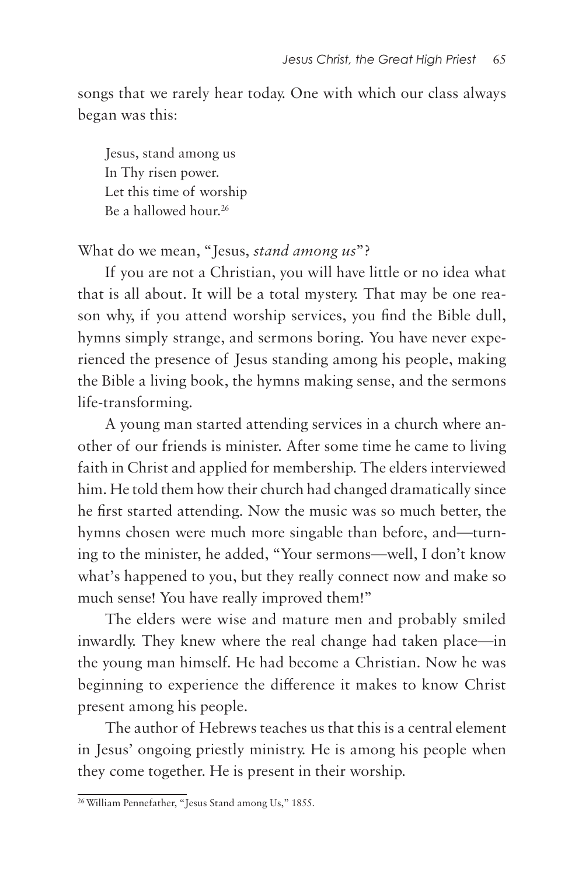songs that we rarely hear today. One with which our class always began was this:

Jesus, stand among us In Thy risen power. Let this time of worship Be a hallowed hour.<sup>26</sup>

What do we mean, "Jesus, *stand among us*"?

If you are not a Christian, you will have little or no idea what that is all about. It will be a total mystery. That may be one reason why, if you attend worship services, you find the Bible dull, hymns simply strange, and sermons boring. You have never experienced the presence of Jesus standing among his people, making the Bible a living book, the hymns making sense, and the sermons life-transforming.

A young man started attending services in a church where another of our friends is minister. After some time he came to living faith in Christ and applied for membership. The elders interviewed him. He told them how their church had changed dramatically since he first started attending. Now the music was so much better, the hymns chosen were much more singable than before, and—turning to the minister, he added, "Your sermons—well, I don't know what's happened to you, but they really connect now and make so much sense! You have really improved them!"

The elders were wise and mature men and probably smiled inwardly. They knew where the real change had taken place—in the young man himself. He had become a Christian. Now he was beginning to experience the difference it makes to know Christ present among his people.

The author of Hebrews teaches us that this is a central element in Jesus' ongoing priestly ministry. He is among his people when they come together. He is present in their worship.

<sup>26</sup>William Pennefather, "Jesus Stand among Us," 1855.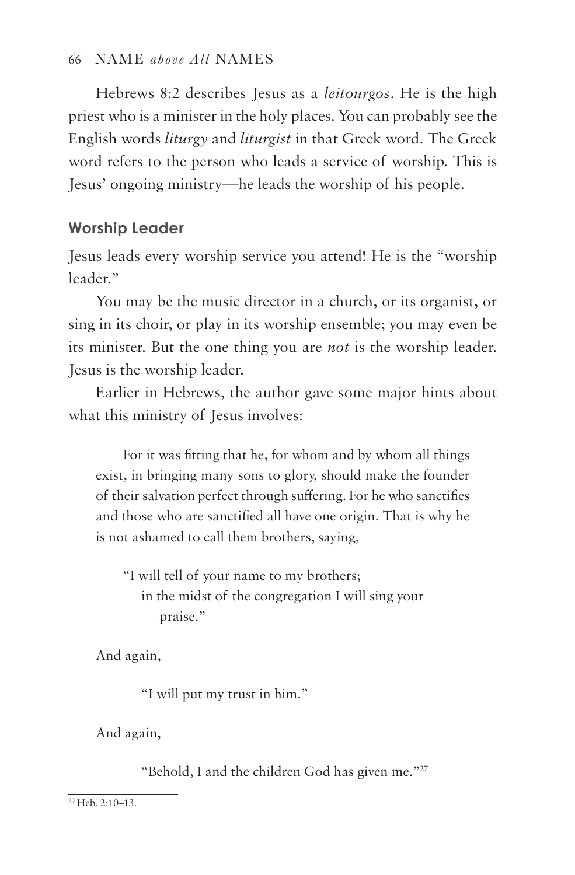#### 66 NAME *above All* NAMES

Hebrews 8:2 describes Jesus as a *leitourgos*. He is the high priest who is a minister in the holy places. You can probably see the English words *liturgy* and *liturgist* in that Greek word. The Greek word refers to the person who leads a service of worship. This is Jesus' ongoing ministry—he leads the worship of his people.

#### **Worship Leader**

Jesus leads every worship service you attend! He is the "worship leader."

You may be the music director in a church, or its organist, or sing in its choir, or play in its worship ensemble; you may even be its minister. But the one thing you are *not* is the worship leader. Jesus is the worship leader.

Earlier in Hebrews, the author gave some major hints about what this ministry of Jesus involves:

For it was fitting that he, for whom and by whom all things exist, in bringing many sons to glory, should make the founder of their salvation perfect through suffering. For he who sanctifies and those who are sanctified all have one origin. That is why he is not ashamed to call them brothers, saying,

"I will tell of your name to my brothers; in the midst of the congregation I will sing your praise."

And again,

"I will put my trust in him."

And again,

"Behold, I and the children God has given me."27

 $^{27}$ Heb.  $2.10-13$ .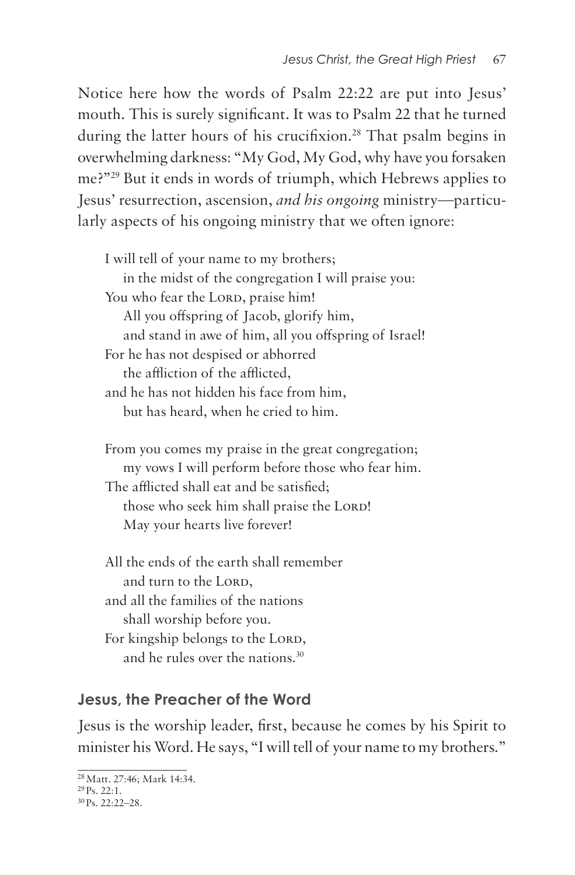Notice here how the words of Psalm 22:22 are put into Jesus' mouth. This is surely significant. It was to Psalm 22 that he turned during the latter hours of his crucifixion.<sup>28</sup> That psalm begins in overwhelming darkness: "My God, My God, why have you forsaken me?"29 But it ends in words of triumph, which Hebrews applies to Jesus' resurrection, ascension, *and his ongoing* ministry—particularly aspects of his ongoing ministry that we often ignore:

I will tell of your name to my brothers; in the midst of the congregation I will praise you: You who fear the LORD, praise him! All you offspring of Jacob, glorify him, and stand in awe of him, all you offspring of Israel! For he has not despised or abhorred the affliction of the afflicted, and he has not hidden his face from him, but has heard, when he cried to him.

From you comes my praise in the great congregation; my vows I will perform before those who fear him. The afflicted shall eat and be satisfied: those who seek him shall praise the LORD! May your hearts live forever!

All the ends of the earth shall remember and turn to the LORD, and all the families of the nations shall worship before you. For kingship belongs to the LORD, and he rules over the nations.30

#### **Jesus, the Preacher of the Word**

Jesus is the worship leader, first, because he comes by his Spirit to minister his Word. He says, "I will tell of your name to my brothers."

<sup>28</sup>Matt. 27:46; Mark 14:34.

 $^{29}$  Ps. 22:1.

 $30 \text{ p}_s$ .  $22.22 - 28$ .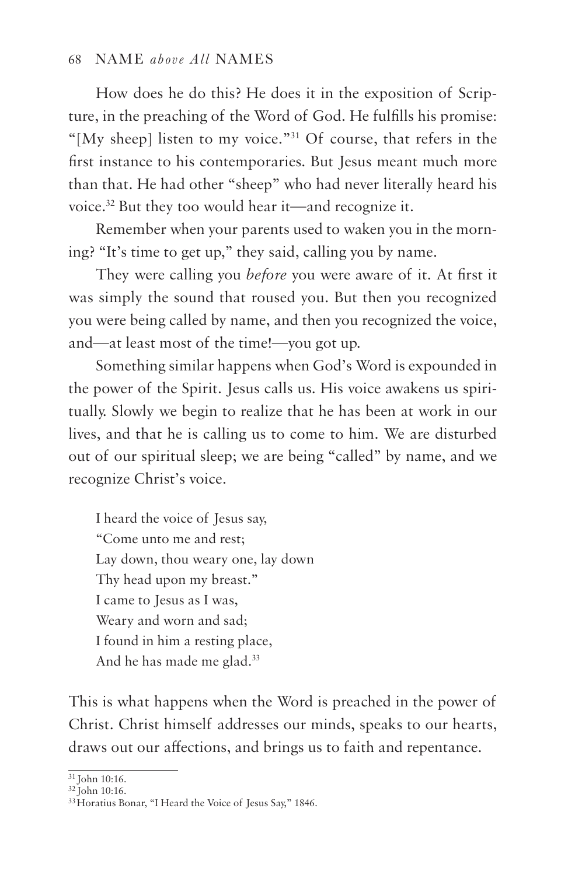#### 68 NAME *above All* NAMES

How does he do this? He does it in the exposition of Scripture, in the preaching of the Word of God. He fulfills his promise: "[My sheep] listen to my voice."31 Of course, that refers in the first instance to his contemporaries. But Jesus meant much more than that. He had other "sheep" who had never literally heard his voice.32 But they too would hear it—and recognize it.

Remember when your parents used to waken you in the morning? "It's time to get up," they said, calling you by name.

They were calling you *before* you were aware of it. At first it was simply the sound that roused you. But then you recognized you were being called by name, and then you recognized the voice, and—at least most of the time!—you got up.

Something similar happens when God's Word is expounded in the power of the Spirit. Jesus calls us. His voice awakens us spiritually. Slowly we begin to realize that he has been at work in our lives, and that he is calling us to come to him. We are disturbed out of our spiritual sleep; we are being "called" by name, and we recognize Christ's voice.

I heard the voice of Jesus say, "Come unto me and rest; Lay down, thou weary one, lay down Thy head upon my breast." I came to Jesus as I was, Weary and worn and sad; I found in him a resting place, And he has made me glad.33

This is what happens when the Word is preached in the power of Christ. Christ himself addresses our minds, speaks to our hearts, draws out our affections, and brings us to faith and repentance.

<sup>31</sup> John 10:16.

 $32$  John 10:16.

<sup>33</sup>Horatius Bonar, "I Heard the Voice of Jesus Say," 1846.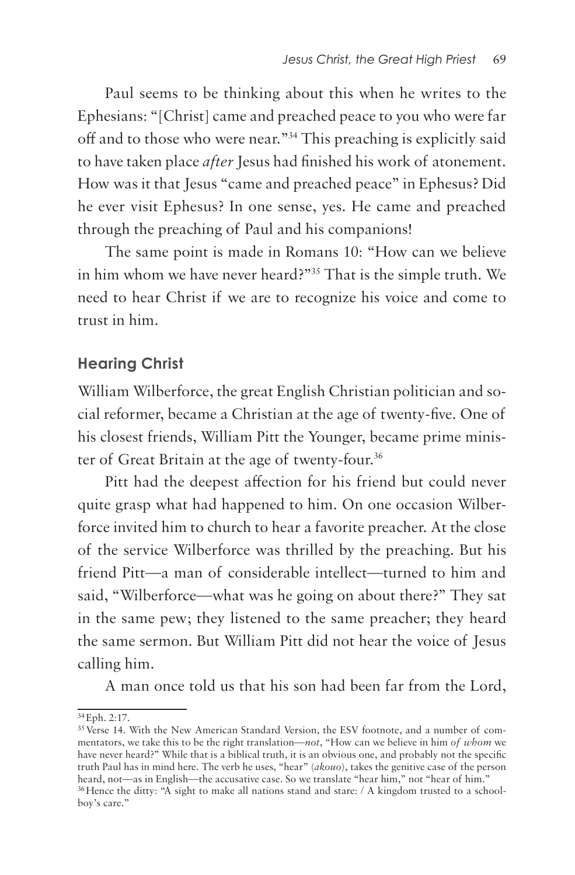Paul seems to be thinking about this when he writes to the Ephesians: "[Christ] came and preached peace to you who were far off and to those who were near."<sup>34</sup> This preaching is explicitly said to have taken place *after* Jesus had finished his work of atonement. How was it that Jesus "came and preached peace" in Ephesus? Did he ever visit Ephesus? In one sense, yes. He came and preached through the preaching of Paul and his companions!

The same point is made in Romans 10: "How can we believe in him whom we have never heard?"35 That is the simple truth. We need to hear Christ if we are to recognize his voice and come to trust in him.

#### **Hearing Christ**

William Wilberforce, the great English Christian politician and social reformer, became a Christian at the age of twenty-five. One of his closest friends, William Pitt the Younger, became prime minister of Great Britain at the age of twenty-four.<sup>36</sup>

Pitt had the deepest affection for his friend but could never quite grasp what had happened to him. On one occasion Wilberforce invited him to church to hear a favorite preacher. At the close of the service Wilberforce was thrilled by the preaching. But his friend Pitt—a man of considerable intellect—turned to him and said, "Wilberforce—what was he going on about there?" They sat in the same pew; they listened to the same preacher; they heard the same sermon. But William Pitt did not hear the voice of Jesus calling him.

A man once told us that his son had been far from the Lord,

<sup>34</sup>Eph. 2:17.

<sup>35</sup>Verse 14. With the New American Standard Version, the ESV footnote, and a number of commentators, we take this to be the right translation—*not*, "How can we believe in him *of whom* we have never heard?" While that is a biblical truth, it is an obvious one, and probably not the specific truth Paul has in mind here. The verb he uses, "hear" (*akouo*), takes the genitive case of the person heard, not—as in English—the accusative case. So we translate "hear him," not "hear of him." <sup>36</sup> Hence the ditty: "A sight to make all nations stand and stare: / A kingdom trusted to a schoolboy's care."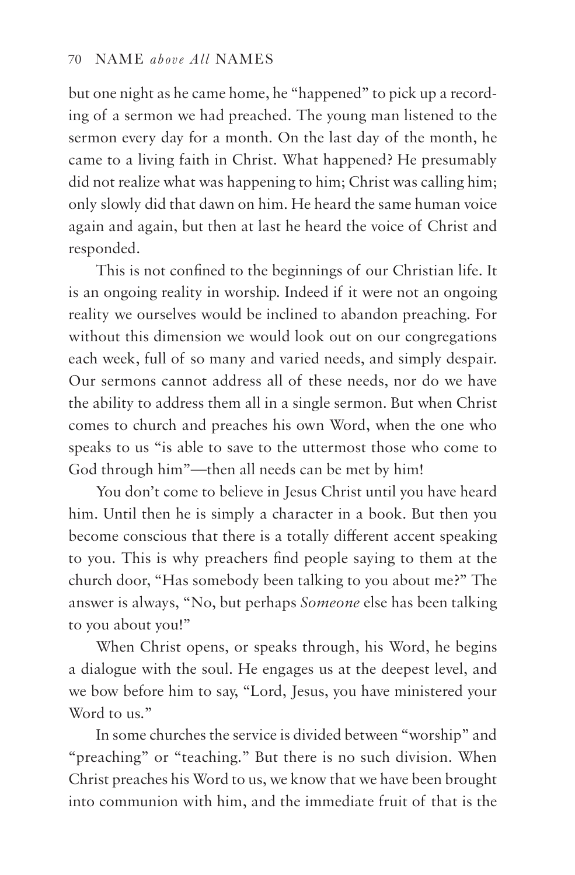but one night as he came home, he "happened" to pick up a recording of a sermon we had preached. The young man listened to the sermon every day for a month. On the last day of the month, he came to a living faith in Christ. What happened? He presumably did not realize what was happening to him; Christ was calling him; only slowly did that dawn on him. He heard the same human voice again and again, but then at last he heard the voice of Christ and responded.

This is not confined to the beginnings of our Christian life. It is an ongoing reality in worship. Indeed if it were not an ongoing reality we ourselves would be inclined to abandon preaching. For without this dimension we would look out on our congregations each week, full of so many and varied needs, and simply despair. Our sermons cannot address all of these needs, nor do we have the ability to address them all in a single sermon. But when Christ comes to church and preaches his own Word, when the one who speaks to us "is able to save to the uttermost those who come to God through him"—then all needs can be met by him!

You don't come to believe in Jesus Christ until you have heard him. Until then he is simply a character in a book. But then you become conscious that there is a totally different accent speaking to you. This is why preachers find people saying to them at the church door, "Has somebody been talking to you about me?" The answer is always, "No, but perhaps *Someone* else has been talking to you about you!"

When Christ opens, or speaks through, his Word, he begins a dialogue with the soul. He engages us at the deepest level, and we bow before him to say, "Lord, Jesus, you have ministered your Word to us<sup>"</sup>

In some churches the service is divided between "worship" and "preaching" or "teaching." But there is no such division. When Christ preaches his Word to us, we know that we have been brought into communion with him, and the immediate fruit of that is the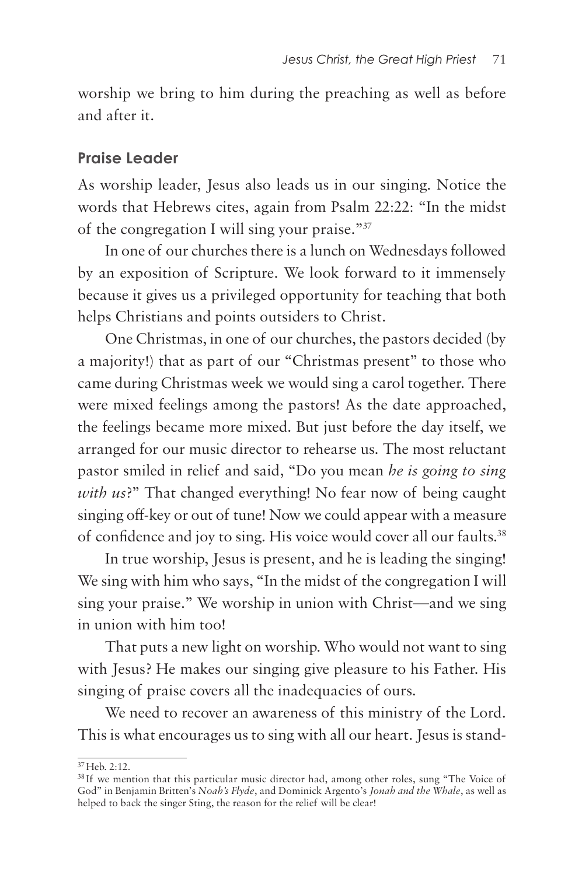worship we bring to him during the preaching as well as before and after it.

#### **Praise Leader**

As worship leader, Jesus also leads us in our singing. Notice the words that Hebrews cites, again from Psalm 22:22: "In the midst of the congregation I will sing your praise."37

In one of our churches there is a lunch on Wednesdays followed by an exposition of Scripture. We look forward to it immensely because it gives us a privileged opportunity for teaching that both helps Christians and points outsiders to Christ.

One Christmas, in one of our churches, the pastors decided (by a majority!) that as part of our "Christmas present" to those who came during Christmas week we would sing a carol together. There were mixed feelings among the pastors! As the date approached, the feelings became more mixed. But just before the day itself, we arranged for our music director to rehearse us. The most reluctant pastor smiled in relief and said, "Do you mean *he is going to sing with us*?" That changed everything! No fear now of being caught singing off-key or out of tune! Now we could appear with a measure of confidence and joy to sing. His voice would cover all our faults.<sup>38</sup>

In true worship, Jesus is present, and he is leading the singing! We sing with him who says, "In the midst of the congregation I will sing your praise." We worship in union with Christ—and we sing in union with him too!

That puts a new light on worship. Who would not want to sing with Jesus? He makes our singing give pleasure to his Father. His singing of praise covers all the inadequacies of ours.

We need to recover an awareness of this ministry of the Lord. This is what encourages us to sing with all our heart. Jesus is stand-

<sup>37</sup>Heb. 2:12.

<sup>38</sup> If we mention that this particular music director had, among other roles, sung "The Voice of God" in Benjamin Britten's *Noah's Flyde*, and Dominick Argento's *Jonah and the Whale*, as well as helped to back the singer Sting, the reason for the relief will be clear!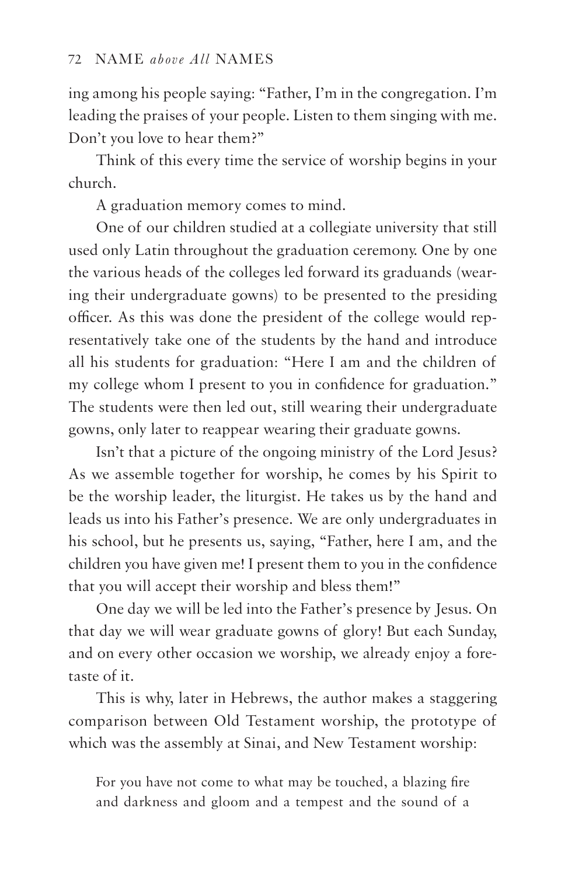ing among his people saying: "Father, I'm in the congregation. I'm leading the praises of your people. Listen to them singing with me. Don't you love to hear them?"

Think of this every time the service of worship begins in your church.

A graduation memory comes to mind.

One of our children studied at a collegiate university that still used only Latin throughout the graduation ceremony. One by one the various heads of the colleges led forward its graduands (wearing their undergraduate gowns) to be presented to the presiding officer. As this was done the president of the college would representatively take one of the students by the hand and introduce all his students for graduation: "Here I am and the children of my college whom I present to you in confidence for graduation." The students were then led out, still wearing their undergraduate gowns, only later to reappear wearing their graduate gowns.

Isn't that a picture of the ongoing ministry of the Lord Jesus? As we assemble together for worship, he comes by his Spirit to be the worship leader, the liturgist. He takes us by the hand and leads us into his Father's presence. We are only undergraduates in his school, but he presents us, saying, "Father, here I am, and the children you have given me! I present them to you in the confidence that you will accept their worship and bless them!"

One day we will be led into the Father's presence by Jesus. On that day we will wear graduate gowns of glory! But each Sunday, and on every other occasion we worship, we already enjoy a foretaste of it.

This is why, later in Hebrews, the author makes a staggering comparison between Old Testament worship, the prototype of which was the assembly at Sinai, and New Testament worship:

For you have not come to what may be touched, a blazing fire and darkness and gloom and a tempest and the sound of a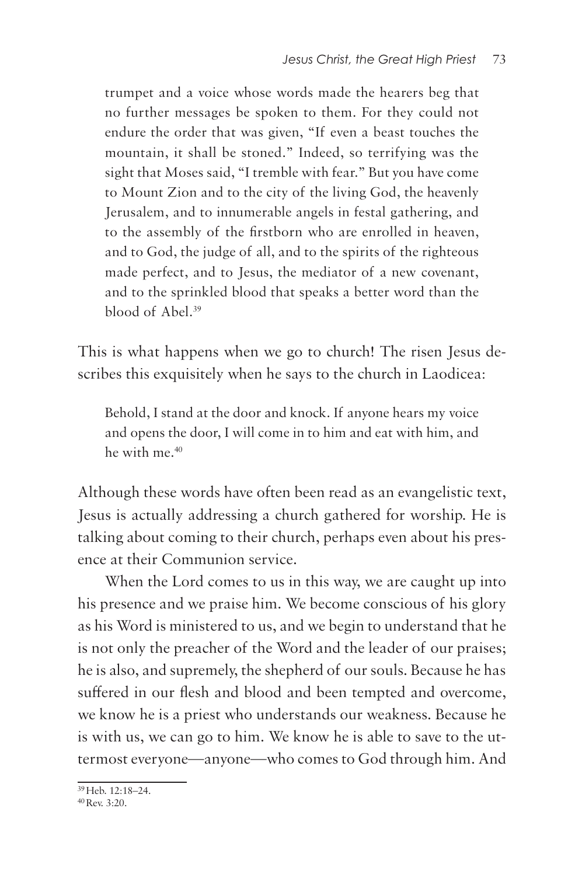trumpet and a voice whose words made the hearers beg that no further messages be spoken to them. For they could not endure the order that was given, "If even a beast touches the mountain, it shall be stoned." Indeed, so terrifying was the sight that Moses said, "I tremble with fear." But you have come to Mount Zion and to the city of the living God, the heavenly Jerusalem, and to innumerable angels in festal gathering, and to the assembly of the firstborn who are enrolled in heaven, and to God, the judge of all, and to the spirits of the righteous made perfect, and to Jesus, the mediator of a new covenant, and to the sprinkled blood that speaks a better word than the blood of Abel.39

This is what happens when we go to church! The risen Jesus describes this exquisitely when he says to the church in Laodicea:

Behold, I stand at the door and knock. If anyone hears my voice and opens the door, I will come in to him and eat with him, and he with me.40

Although these words have often been read as an evangelistic text, Jesus is actually addressing a church gathered for worship. He is talking about coming to their church, perhaps even about his presence at their Communion service.

When the Lord comes to us in this way, we are caught up into his presence and we praise him. We become conscious of his glory as his Word is ministered to us, and we begin to understand that he is not only the preacher of the Word and the leader of our praises; he is also, and supremely, the shepherd of our souls. Because he has suffered in our flesh and blood and been tempted and overcome, we know he is a priest who understands our weakness. Because he is with us, we can go to him. We know he is able to save to the uttermost everyone—anyone—who comes to God through him. And

<sup>39</sup>Heb. 12:18–24.

 $40 \text{ReV}$  3:20.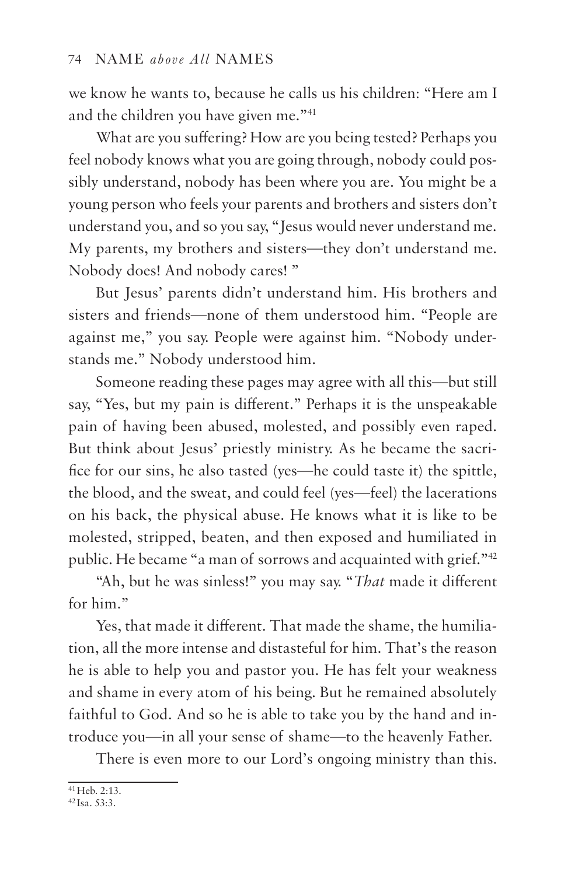we know he wants to, because he calls us his children: "Here am I and the children you have given me."<sup>41</sup>

What are you suffering? How are you being tested? Perhaps you feel nobody knows what you are going through, nobody could possibly understand, nobody has been where you are. You might be a young person who feels your parents and brothers and sisters don't understand you, and so you say, "Jesus would never understand me. My parents, my brothers and sisters—they don't understand me. Nobody does! And nobody cares! "

But Jesus' parents didn't understand him. His brothers and sisters and friends—none of them understood him. "People are against me," you say. People were against him. "Nobody understands me." Nobody understood him.

Someone reading these pages may agree with all this—but still say, "Yes, but my pain is different." Perhaps it is the unspeakable pain of having been abused, molested, and possibly even raped. But think about Jesus' priestly ministry. As he became the sacrifice for our sins, he also tasted (yes—he could taste it) the spittle, the blood, and the sweat, and could feel (yes—feel) the lacerations on his back, the physical abuse. He knows what it is like to be molested, stripped, beaten, and then exposed and humiliated in public. He became "a man of sorrows and acquainted with grief."42

"Ah, but he was sinless!" you may say. "That made it different for him."

Yes, that made it different. That made the shame, the humiliation, all the more intense and distasteful for him. That's the reason he is able to help you and pastor you. He has felt your weakness and shame in every atom of his being. But he remained absolutely faithful to God. And so he is able to take you by the hand and introduce you—in all your sense of shame—to the heavenly Father.

There is even more to our Lord's ongoing ministry than this.

41Heb. 2:13.

 $42$  Isa. 53.3.